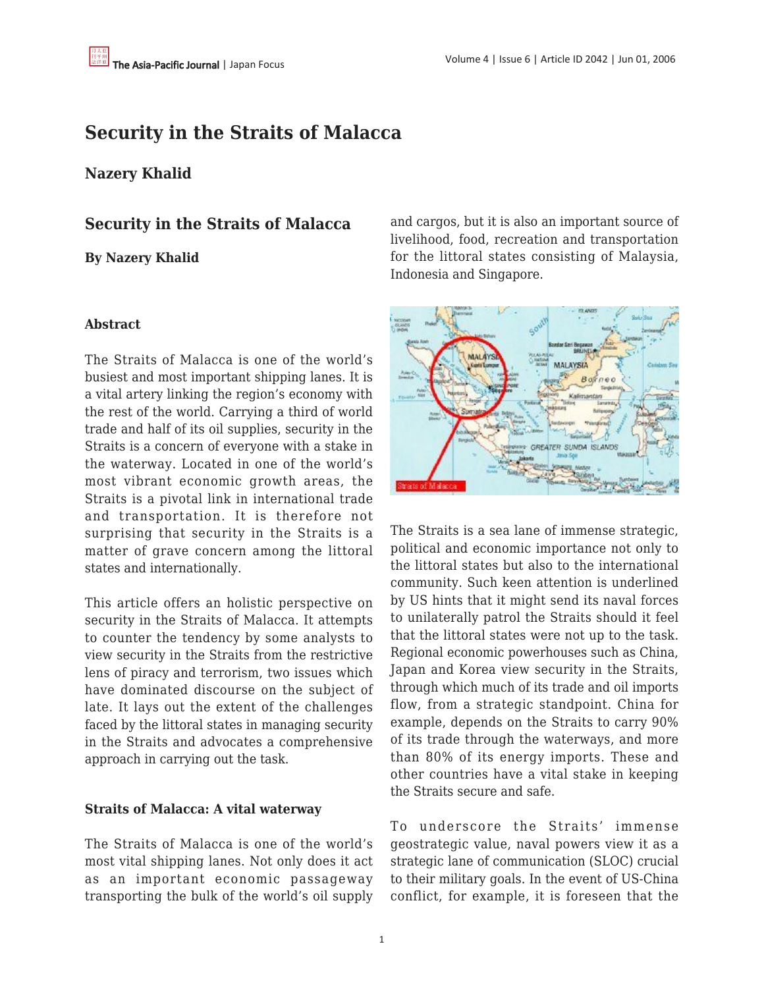# **Security in the Straits of Malacca**

## **Nazery Khalid**

**Security in the Straits of Malacca**

**By Nazery Khalid**

#### **Abstract**

The Straits of Malacca is one of the world's busiest and most important shipping lanes. It is a vital artery linking the region's economy with the rest of the world. Carrying a third of world trade and half of its oil supplies, security in the Straits is a concern of everyone with a stake in the waterway. Located in one of the world's most vibrant economic growth areas, the Straits is a pivotal link in international trade and transportation. It is therefore not surprising that security in the Straits is a matter of grave concern among the littoral states and internationally.

This article offers an holistic perspective on security in the Straits of Malacca. It attempts to counter the tendency by some analysts to view security in the Straits from the restrictive lens of piracy and terrorism, two issues which have dominated discourse on the subject of late. It lays out the extent of the challenges faced by the littoral states in managing security in the Straits and advocates a comprehensive approach in carrying out the task.

#### **Straits of Malacca: A vital waterway**

The Straits of Malacca is one of the world's most vital shipping lanes. Not only does it act as an important economic passageway transporting the bulk of the world's oil supply and cargos, but it is also an important source of livelihood, food, recreation and transportation for the littoral states consisting of Malaysia, Indonesia and Singapore.



The Straits is a sea lane of immense strategic, political and economic importance not only to the littoral states but also to the international community. Such keen attention is underlined by US hints that it might send its naval forces to unilaterally patrol the Straits should it feel that the littoral states were not up to the task. Regional economic powerhouses such as China, Japan and Korea view security in the Straits, through which much of its trade and oil imports flow, from a strategic standpoint. China for example, depends on the Straits to carry 90% of its trade through the waterways, and more than 80% of its energy imports. These and other countries have a vital stake in keeping the Straits secure and safe.

To underscore the Straits' immense geostrategic value, naval powers view it as a strategic lane of communication (SLOC) crucial to their military goals. In the event of US-China conflict, for example, it is foreseen that the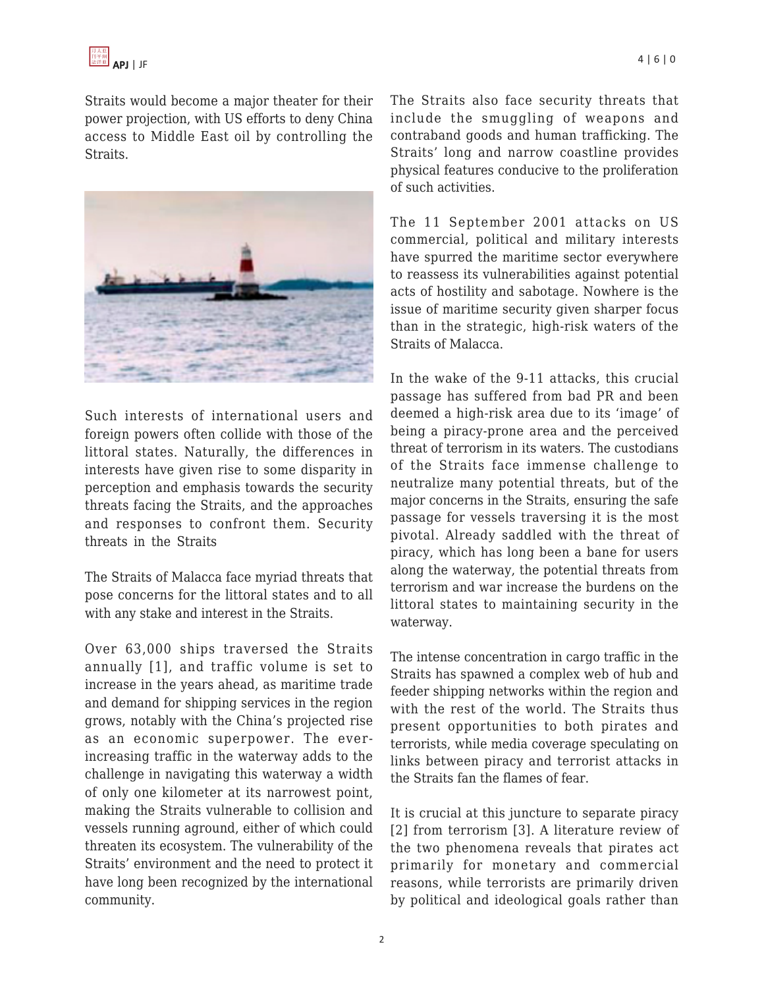

Straits would become a major theater for their power projection, with US efforts to deny China access to Middle East oil by controlling the Straits.



Such interests of international users and foreign powers often collide with those of the littoral states. Naturally, the differences in interests have given rise to some disparity in perception and emphasis towards the security threats facing the Straits, and the approaches and responses to confront them. Security threats in the Straits

The Straits of Malacca face myriad threats that pose concerns for the littoral states and to all with any stake and interest in the Straits.

Over 63,000 ships traversed the Straits annually [1], and traffic volume is set to increase in the years ahead, as maritime trade and demand for shipping services in the region grows, notably with the China's projected rise as an economic superpower. The everincreasing traffic in the waterway adds to the challenge in navigating this waterway a width of only one kilometer at its narrowest point, making the Straits vulnerable to collision and vessels running aground, either of which could threaten its ecosystem. The vulnerability of the Straits' environment and the need to protect it have long been recognized by the international community.

The Straits also face security threats that include the smuggling of weapons and contraband goods and human trafficking. The Straits' long and narrow coastline provides physical features conducive to the proliferation of such activities.

The 11 September 2001 attacks on US commercial, political and military interests have spurred the maritime sector everywhere to reassess its vulnerabilities against potential acts of hostility and sabotage. Nowhere is the issue of maritime security given sharper focus than in the strategic, high-risk waters of the Straits of Malacca.

In the wake of the 9-11 attacks, this crucial passage has suffered from bad PR and been deemed a high-risk area due to its 'image' of being a piracy-prone area and the perceived threat of terrorism in its waters. The custodians of the Straits face immense challenge to neutralize many potential threats, but of the major concerns in the Straits, ensuring the safe passage for vessels traversing it is the most pivotal. Already saddled with the threat of piracy, which has long been a bane for users along the waterway, the potential threats from terrorism and war increase the burdens on the littoral states to maintaining security in the waterway.

The intense concentration in cargo traffic in the Straits has spawned a complex web of hub and feeder shipping networks within the region and with the rest of the world. The Straits thus present opportunities to both pirates and terrorists, while media coverage speculating on links between piracy and terrorist attacks in the Straits fan the flames of fear.

It is crucial at this juncture to separate piracy [2] from terrorism [3]. A literature review of the two phenomena reveals that pirates act primarily for monetary and commercial reasons, while terrorists are primarily driven by political and ideological goals rather than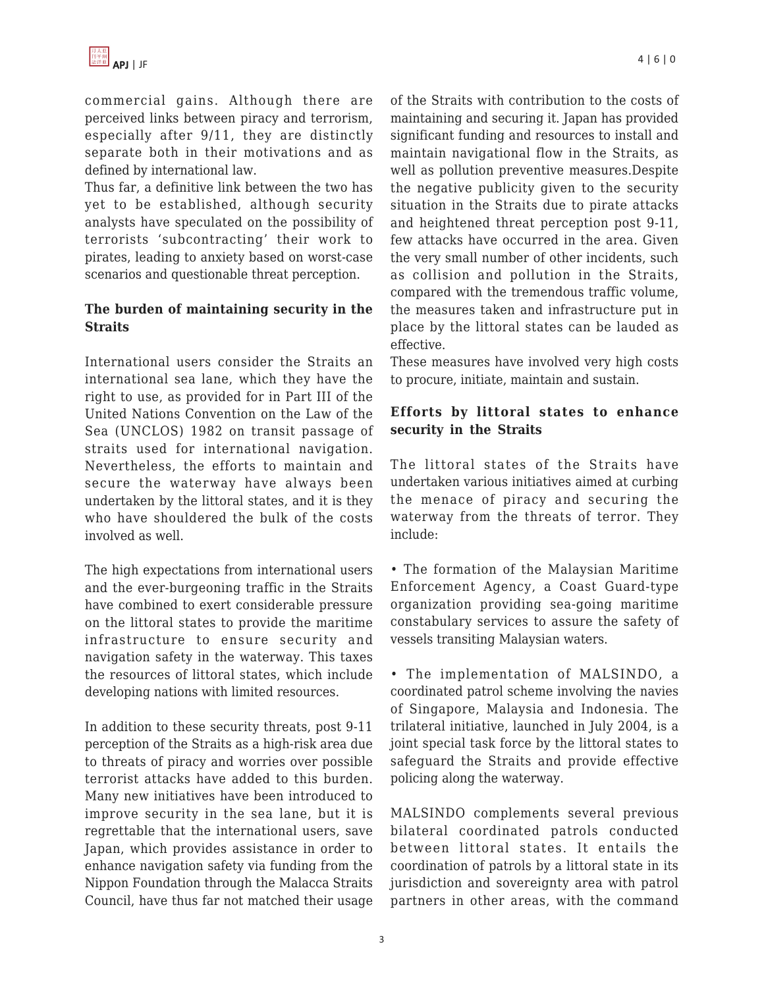commercial gains. Although there are perceived links between piracy and terrorism, especially after 9/11, they are distinctly separate both in their motivations and as defined by international law.

Thus far, a definitive link between the two has yet to be established, although security analysts have speculated on the possibility of terrorists 'subcontracting' their work to pirates, leading to anxiety based on worst-case scenarios and questionable threat perception.

### **The burden of maintaining security in the Straits**

International users consider the Straits an international sea lane, which they have the right to use, as provided for in Part III of the United Nations Convention on the Law of the Sea (UNCLOS) 1982 on transit passage of straits used for international navigation. Nevertheless, the efforts to maintain and secure the waterway have always been undertaken by the littoral states, and it is they who have shouldered the bulk of the costs involved as well.

The high expectations from international users and the ever-burgeoning traffic in the Straits have combined to exert considerable pressure on the littoral states to provide the maritime infrastructure to ensure security and navigation safety in the waterway. This taxes the resources of littoral states, which include developing nations with limited resources.

In addition to these security threats, post 9-11 perception of the Straits as a high-risk area due to threats of piracy and worries over possible terrorist attacks have added to this burden. Many new initiatives have been introduced to improve security in the sea lane, but it is regrettable that the international users, save Japan, which provides assistance in order to enhance navigation safety via funding from the Nippon Foundation through the Malacca Straits Council, have thus far not matched their usage of the Straits with contribution to the costs of maintaining and securing it. Japan has provided significant funding and resources to install and maintain navigational flow in the Straits, as well as pollution preventive measures.Despite the negative publicity given to the security situation in the Straits due to pirate attacks and heightened threat perception post 9-11, few attacks have occurred in the area. Given the very small number of other incidents, such as collision and pollution in the Straits, compared with the tremendous traffic volume, the measures taken and infrastructure put in place by the littoral states can be lauded as effective.

These measures have involved very high costs to procure, initiate, maintain and sustain.

## **Efforts by littoral states to enhance security in the Straits**

The littoral states of the Straits have undertaken various initiatives aimed at curbing the menace of piracy and securing the waterway from the threats of terror. They include:

• The formation of the Malaysian Maritime Enforcement Agency, a Coast Guard-type organization providing sea-going maritime constabulary services to assure the safety of vessels transiting Malaysian waters.

• The implementation of MALSINDO, a coordinated patrol scheme involving the navies of Singapore, Malaysia and Indonesia. The trilateral initiative, launched in July 2004, is a joint special task force by the littoral states to safeguard the Straits and provide effective policing along the waterway.

MALSINDO complements several previous bilateral coordinated patrols conducted between littoral states. It entails the coordination of patrols by a littoral state in its jurisdiction and sovereignty area with patrol partners in other areas, with the command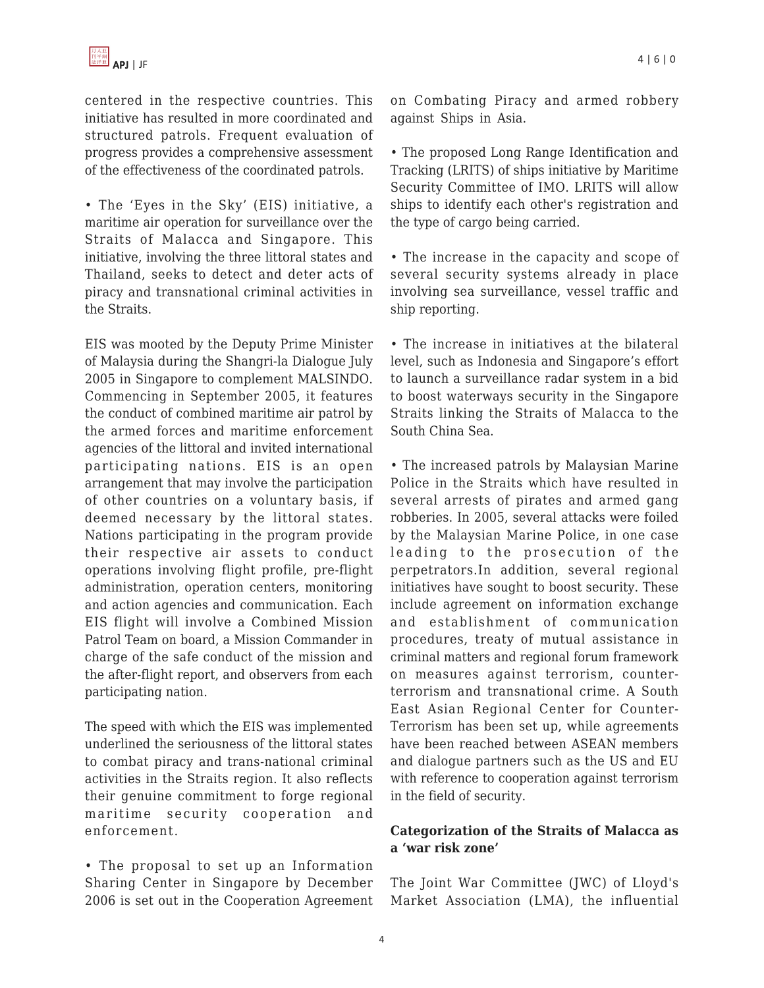centered in the respective countries. This initiative has resulted in more coordinated and structured patrols. Frequent evaluation of progress provides a comprehensive assessment of the effectiveness of the coordinated patrols.

• The 'Eyes in the Sky' (EIS) initiative, a maritime air operation for surveillance over the Straits of Malacca and Singapore. This initiative, involving the three littoral states and Thailand, seeks to detect and deter acts of piracy and transnational criminal activities in the Straits.

EIS was mooted by the Deputy Prime Minister of Malaysia during the Shangri-la Dialogue July 2005 in Singapore to complement MALSINDO. Commencing in September 2005, it features the conduct of combined maritime air patrol by the armed forces and maritime enforcement agencies of the littoral and invited international participating nations. EIS is an open arrangement that may involve the participation of other countries on a voluntary basis, if deemed necessary by the littoral states. Nations participating in the program provide their respective air assets to conduct operations involving flight profile, pre-flight administration, operation centers, monitoring and action agencies and communication. Each EIS flight will involve a Combined Mission Patrol Team on board, a Mission Commander in charge of the safe conduct of the mission and the after-flight report, and observers from each participating nation.

The speed with which the EIS was implemented underlined the seriousness of the littoral states to combat piracy and trans-national criminal activities in the Straits region. It also reflects their genuine commitment to forge regional maritime security cooperation and enforcement.

• The proposal to set up an Information Sharing Center in Singapore by December 2006 is set out in the Cooperation Agreement on Combating Piracy and armed robbery against Ships in Asia.

• The proposed Long Range Identification and Tracking (LRITS) of ships initiative by Maritime Security Committee of IMO. LRITS will allow ships to identify each other's registration and the type of cargo being carried.

• The increase in the capacity and scope of several security systems already in place involving sea surveillance, vessel traffic and ship reporting.

• The increase in initiatives at the bilateral level, such as Indonesia and Singapore's effort to launch a surveillance radar system in a bid to boost waterways security in the Singapore Straits linking the Straits of Malacca to the South China Sea.

• The increased patrols by Malaysian Marine Police in the Straits which have resulted in several arrests of pirates and armed gang robberies. In 2005, several attacks were foiled by the Malaysian Marine Police, in one case leading to the prosecution of the perpetrators.In addition, several regional initiatives have sought to boost security. These include agreement on information exchange and establishment of communication procedures, treaty of mutual assistance in criminal matters and regional forum framework on measures against terrorism, counterterrorism and transnational crime. A South East Asian Regional Center for Counter-Terrorism has been set up, while agreements have been reached between ASEAN members and dialogue partners such as the US and EU with reference to cooperation against terrorism in the field of security.

### **Categorization of the Straits of Malacca as a 'war risk zone'**

The Joint War Committee (JWC) of Lloyd's Market Association (LMA), the influential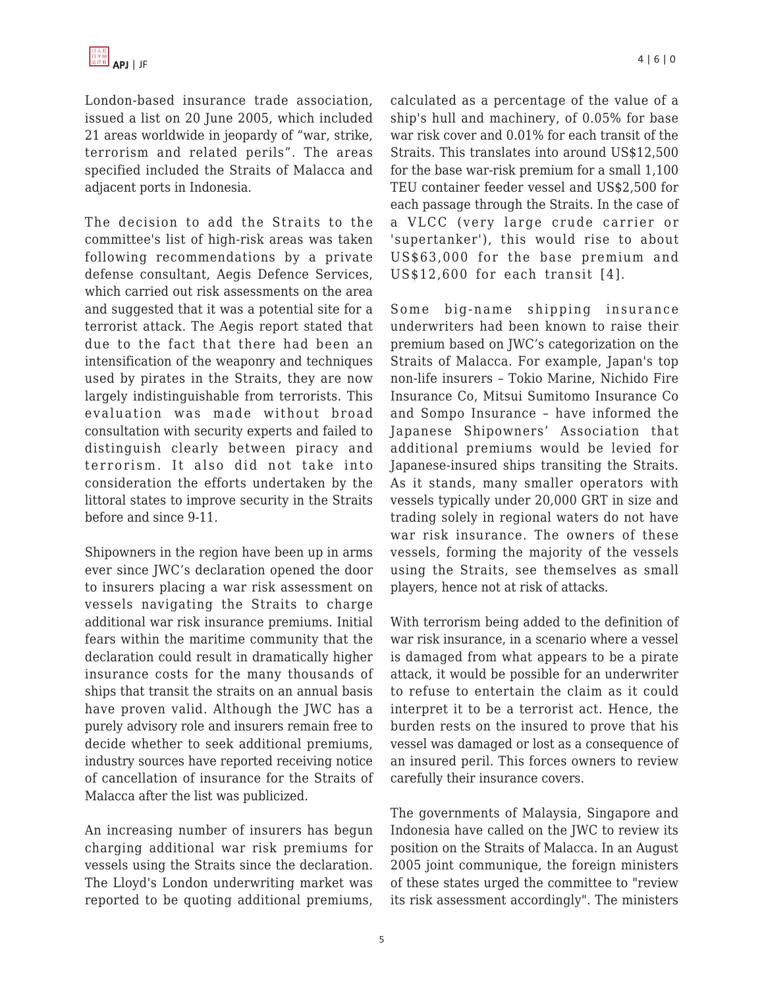London-based insurance trade association, issued a list on 20 June 2005, which included 21 areas worldwide in jeopardy of "war, strike, terrorism and related perils". The areas specified included the Straits of Malacca and adjacent ports in Indonesia.

The decision to add the Straits to the committee's list of high-risk areas was taken following recommendations by a private defense consultant, Aegis Defence Services, which carried out risk assessments on the area and suggested that it was a potential site for a terrorist attack. The Aegis report stated that due to the fact that there had been an intensification of the weaponry and techniques used by pirates in the Straits, they are now largely indistinguishable from terrorists. This evaluation was made without broad consultation with security experts and failed to distinguish clearly between piracy and terrorism. It also did not take into consideration the efforts undertaken by the littoral states to improve security in the Straits before and since 9-11.

Shipowners in the region have been up in arms ever since JWC's declaration opened the door to insurers placing a war risk assessment on vessels navigating the Straits to charge additional war risk insurance premiums. Initial fears within the maritime community that the declaration could result in dramatically higher insurance costs for the many thousands of ships that transit the straits on an annual basis have proven valid. Although the JWC has a purely advisory role and insurers remain free to decide whether to seek additional premiums, industry sources have reported receiving notice of cancellation of insurance for the Straits of Malacca after the list was publicized.

An increasing number of insurers has begun charging additional war risk premiums for vessels using the Straits since the declaration. The Lloyd's London underwriting market was reported to be quoting additional premiums, calculated as a percentage of the value of a ship's hull and machinery, of 0.05% for base war risk cover and 0.01% for each transit of the Straits. This translates into around US\$12,500 for the base war-risk premium for a small 1,100 TEU container feeder vessel and US\$2,500 for each passage through the Straits. In the case of a VLCC (very large crude carrier or 'supertanker'), this would rise to about US\$63,000 for the base premium and US\$12,600 for each transit [4].

Some big-name shipping insurance underwriters had been known to raise their premium based on JWC's categorization on the Straits of Malacca. For example, Japan's top non-life insurers – Tokio Marine, Nichido Fire Insurance Co, Mitsui Sumitomo Insurance Co and Sompo Insurance – have informed the Japanese Shipowners' Association that additional premiums would be levied for Japanese-insured ships transiting the Straits. As it stands, many smaller operators with vessels typically under 20,000 GRT in size and trading solely in regional waters do not have war risk insurance. The owners of these vessels, forming the majority of the vessels using the Straits, see themselves as small players, hence not at risk of attacks.

With terrorism being added to the definition of war risk insurance, in a scenario where a vessel is damaged from what appears to be a pirate attack, it would be possible for an underwriter to refuse to entertain the claim as it could interpret it to be a terrorist act. Hence, the burden rests on the insured to prove that his vessel was damaged or lost as a consequence of an insured peril. This forces owners to review carefully their insurance covers.

The governments of Malaysia, Singapore and Indonesia have called on the JWC to review its position on the Straits of Malacca. In an August 2005 joint communique, the foreign ministers of these states urged the committee to "review its risk assessment accordingly". The ministers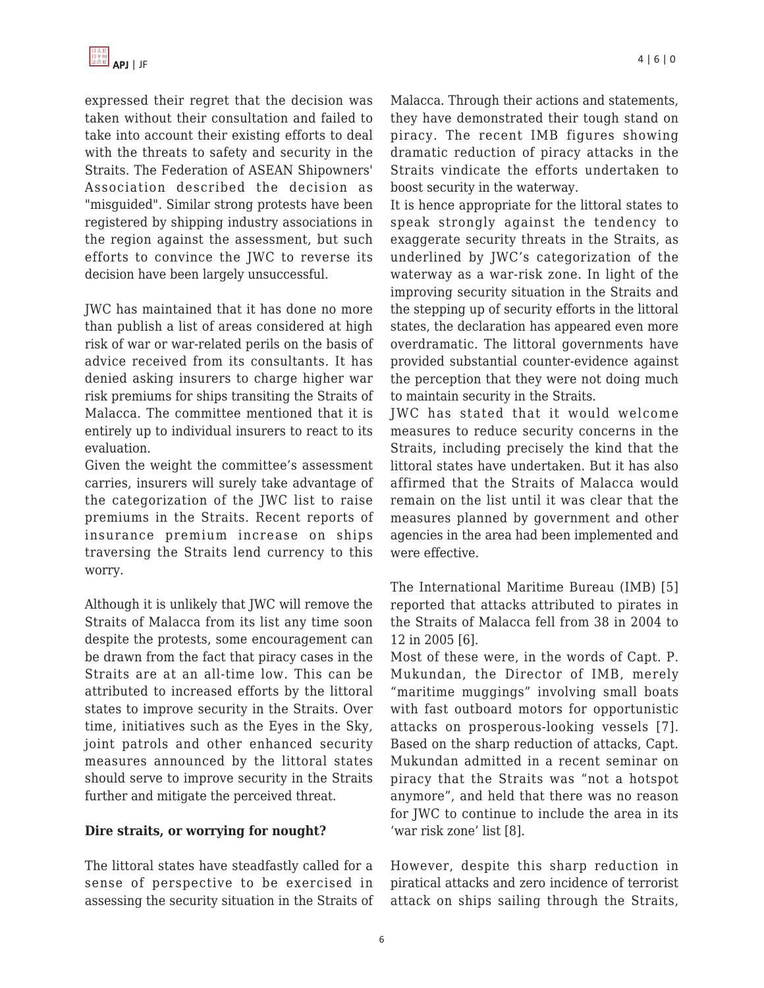

expressed their regret that the decision was taken without their consultation and failed to take into account their existing efforts to deal with the threats to safety and security in the Straits. The Federation of ASEAN Shipowners' Association described the decision as "misguided". Similar strong protests have been registered by shipping industry associations in the region against the assessment, but such efforts to convince the JWC to reverse its decision have been largely unsuccessful.

JWC has maintained that it has done no more than publish a list of areas considered at high risk of war or war-related perils on the basis of advice received from its consultants. It has denied asking insurers to charge higher war risk premiums for ships transiting the Straits of Malacca. The committee mentioned that it is entirely up to individual insurers to react to its evaluation.

Given the weight the committee's assessment carries, insurers will surely take advantage of the categorization of the JWC list to raise premiums in the Straits. Recent reports of insurance premium increase on ships traversing the Straits lend currency to this worry.

Although it is unlikely that JWC will remove the Straits of Malacca from its list any time soon despite the protests, some encouragement can be drawn from the fact that piracy cases in the Straits are at an all-time low. This can be attributed to increased efforts by the littoral states to improve security in the Straits. Over time, initiatives such as the Eyes in the Sky, joint patrols and other enhanced security measures announced by the littoral states should serve to improve security in the Straits further and mitigate the perceived threat.

#### **Dire straits, or worrying for nought?**

The littoral states have steadfastly called for a sense of perspective to be exercised in assessing the security situation in the Straits of Malacca. Through their actions and statements, they have demonstrated their tough stand on piracy. The recent IMB figures showing dramatic reduction of piracy attacks in the Straits vindicate the efforts undertaken to boost security in the waterway.

It is hence appropriate for the littoral states to speak strongly against the tendency to exaggerate security threats in the Straits, as underlined by JWC's categorization of the waterway as a war-risk zone. In light of the improving security situation in the Straits and the stepping up of security efforts in the littoral states, the declaration has appeared even more overdramatic. The littoral governments have provided substantial counter-evidence against the perception that they were not doing much to maintain security in the Straits.

JWC has stated that it would welcome measures to reduce security concerns in the Straits, including precisely the kind that the littoral states have undertaken. But it has also affirmed that the Straits of Malacca would remain on the list until it was clear that the measures planned by government and other agencies in the area had been implemented and were effective.

The International Maritime Bureau (IMB) [5] reported that attacks attributed to pirates in the Straits of Malacca fell from 38 in 2004 to 12 in 2005 [6].

Most of these were, in the words of Capt. P. Mukundan, the Director of IMB, merely "maritime muggings" involving small boats with fast outboard motors for opportunistic attacks on prosperous-looking vessels [7]. Based on the sharp reduction of attacks, Capt. Mukundan admitted in a recent seminar on piracy that the Straits was "not a hotspot anymore", and held that there was no reason for JWC to continue to include the area in its 'war risk zone' list [8].

However, despite this sharp reduction in piratical attacks and zero incidence of terrorist attack on ships sailing through the Straits,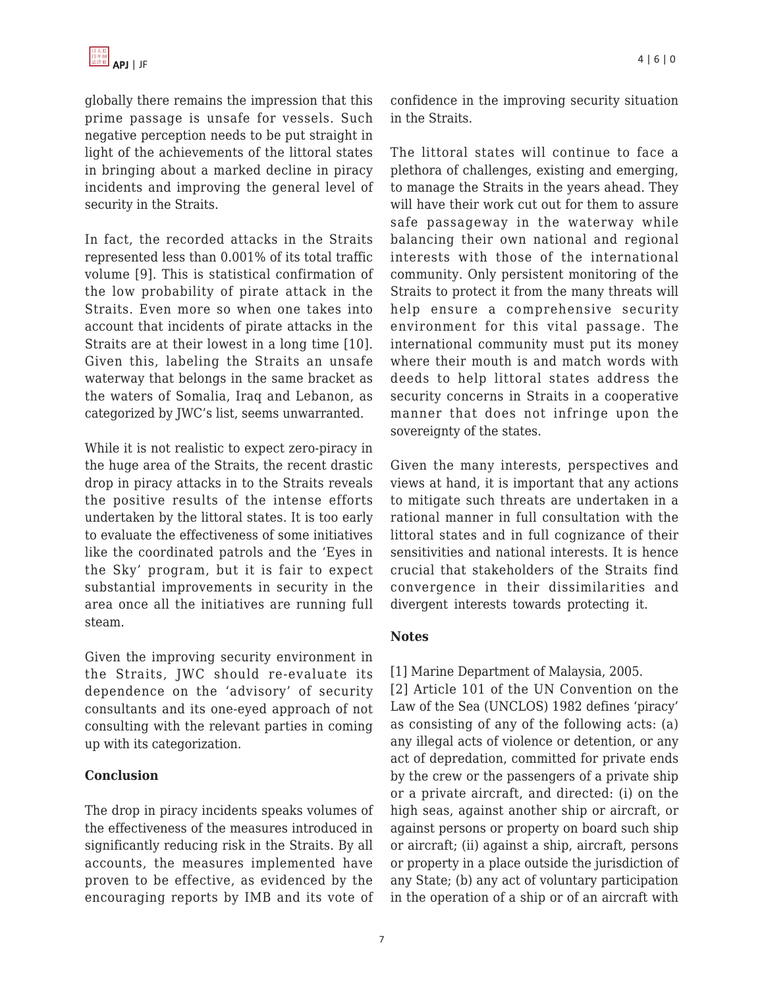globally there remains the impression that this prime passage is unsafe for vessels. Such negative perception needs to be put straight in light of the achievements of the littoral states in bringing about a marked decline in piracy incidents and improving the general level of security in the Straits.

In fact, the recorded attacks in the Straits represented less than 0.001% of its total traffic volume [9]. This is statistical confirmation of the low probability of pirate attack in the Straits. Even more so when one takes into account that incidents of pirate attacks in the Straits are at their lowest in a long time [10]. Given this, labeling the Straits an unsafe waterway that belongs in the same bracket as the waters of Somalia, Iraq and Lebanon, as categorized by JWC's list, seems unwarranted.

While it is not realistic to expect zero-piracy in the huge area of the Straits, the recent drastic drop in piracy attacks in to the Straits reveals the positive results of the intense efforts undertaken by the littoral states. It is too early to evaluate the effectiveness of some initiatives like the coordinated patrols and the 'Eyes in the Sky' program, but it is fair to expect substantial improvements in security in the area once all the initiatives are running full steam.

Given the improving security environment in the Straits, JWC should re-evaluate its dependence on the 'advisory' of security consultants and its one-eyed approach of not consulting with the relevant parties in coming up with its categorization.

# **Conclusion**

The drop in piracy incidents speaks volumes of the effectiveness of the measures introduced in significantly reducing risk in the Straits. By all accounts, the measures implemented have proven to be effective, as evidenced by the encouraging reports by IMB and its vote of confidence in the improving security situation in the Straits.

The littoral states will continue to face a plethora of challenges, existing and emerging, to manage the Straits in the years ahead. They will have their work cut out for them to assure safe passageway in the waterway while balancing their own national and regional interests with those of the international community. Only persistent monitoring of the Straits to protect it from the many threats will help ensure a comprehensive security environment for this vital passage. The international community must put its money where their mouth is and match words with deeds to help littoral states address the security concerns in Straits in a cooperative manner that does not infringe upon the sovereignty of the states.

Given the many interests, perspectives and views at hand, it is important that any actions to mitigate such threats are undertaken in a rational manner in full consultation with the littoral states and in full cognizance of their sensitivities and national interests. It is hence crucial that stakeholders of the Straits find convergence in their dissimilarities and divergent interests towards protecting it.

# **Notes**

[1] Marine Department of Malaysia, 2005.

[2] Article 101 of the UN Convention on the Law of the Sea (UNCLOS) 1982 defines 'piracy' as consisting of any of the following acts: (a) any illegal acts of violence or detention, or any act of depredation, committed for private ends by the crew or the passengers of a private ship or a private aircraft, and directed: (i) on the high seas, against another ship or aircraft, or against persons or property on board such ship or aircraft; (ii) against a ship, aircraft, persons or property in a place outside the jurisdiction of any State; (b) any act of voluntary participation in the operation of a ship or of an aircraft with